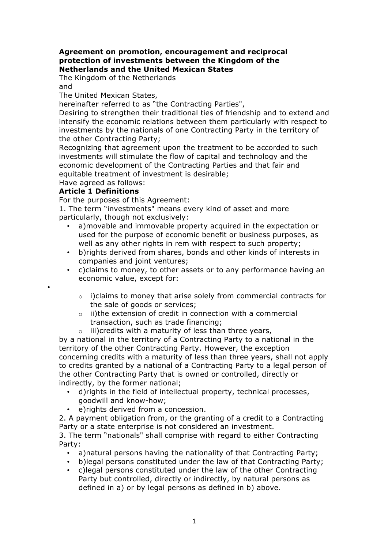## **Agreement on promotion, encouragement and reciprocal protection of investments between the Kingdom of the Netherlands and the United Mexican States**

The Kingdom of the Netherlands

and

•

The United Mexican States,

hereinafter referred to as "the Contracting Parties",

Desiring to strengthen their traditional ties of friendship and to extend and intensify the economic relations between them particularly with respect to investments by the nationals of one Contracting Party in the territory of the other Contracting Party;

Recognizing that agreement upon the treatment to be accorded to such investments will stimulate the flow of capital and technology and the economic development of the Contracting Parties and that fair and equitable treatment of investment is desirable;

Have agreed as follows:

## **Article 1 Definitions**

For the purposes of this Agreement:

1. The term "investments" means every kind of asset and more particularly, though not exclusively:

- a)movable and immovable property acquired in the expectation or used for the purpose of economic benefit or business purposes, as well as any other rights in rem with respect to such property;
- b)rights derived from shares, bonds and other kinds of interests in companies and joint ventures;
- c)claims to money, to other assets or to any performance having an economic value, except for:
	- o i)claims to money that arise solely from commercial contracts for the sale of goods or services;
	- o ii)the extension of credit in connection with a commercial transaction, such as trade financing;
	- $\circ$  iii)credits with a maturity of less than three years,

by a national in the territory of a Contracting Party to a national in the territory of the other Contracting Party. However, the exception concerning credits with a maturity of less than three years, shall not apply to credits granted by a national of a Contracting Party to a legal person of the other Contracting Party that is owned or controlled, directly or indirectly, by the former national;

- d)rights in the field of intellectual property, technical processes, goodwill and know-how;
- e)rights derived from a concession.

2. A payment obligation from, or the granting of a credit to a Contracting Party or a state enterprise is not considered an investment.

3. The term "nationals" shall comprise with regard to either Contracting Party:

- a)natural persons having the nationality of that Contracting Party;
- b)legal persons constituted under the law of that Contracting Party;
- c)legal persons constituted under the law of the other Contracting Party but controlled, directly or indirectly, by natural persons as defined in a) or by legal persons as defined in b) above.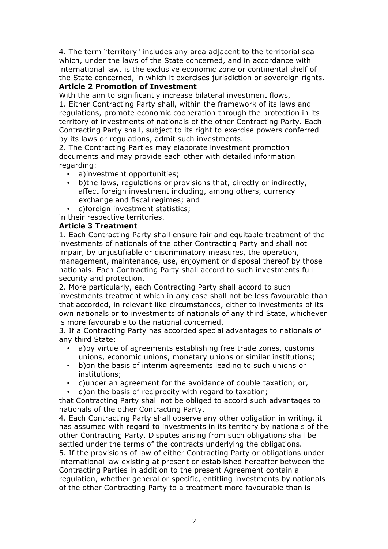4. The term "territory" includes any area adjacent to the territorial sea which, under the laws of the State concerned, and in accordance with international law, is the exclusive economic zone or continental shelf of the State concerned, in which it exercises jurisdiction or sovereign rights.

# **Article 2 Promotion of Investment**

With the aim to significantly increase bilateral investment flows, 1. Either Contracting Party shall, within the framework of its laws and regulations, promote economic cooperation through the protection in its territory of investments of nationals of the other Contracting Party. Each Contracting Party shall, subject to its right to exercise powers conferred by its laws or regulations, admit such investments.

2. The Contracting Parties may elaborate investment promotion documents and may provide each other with detailed information regarding:

- a)investment opportunities;
- b)the laws, regulations or provisions that, directly or indirectly, affect foreign investment including, among others, currency exchange and fiscal regimes; and
- c)foreign investment statistics;

in their respective territories.

#### **Article 3 Treatment**

1. Each Contracting Party shall ensure fair and equitable treatment of the investments of nationals of the other Contracting Party and shall not impair, by unjustifiable or discriminatory measures, the operation, management, maintenance, use, enjoyment or disposal thereof by those nationals. Each Contracting Party shall accord to such investments full security and protection.

2. More particularly, each Contracting Party shall accord to such investments treatment which in any case shall not be less favourable than that accorded, in relevant like circumstances, either to investments of its own nationals or to investments of nationals of any third State, whichever is more favourable to the national concerned.

3. If a Contracting Party has accorded special advantages to nationals of any third State:

- a)by virtue of agreements establishing free trade zones, customs unions, economic unions, monetary unions or similar institutions;
- b)on the basis of interim agreements leading to such unions or institutions;
- c)under an agreement for the avoidance of double taxation; or,
- d)on the basis of reciprocity with regard to taxation;

that Contracting Party shall not be obliged to accord such advantages to nationals of the other Contracting Party.

4. Each Contracting Party shall observe any other obligation in writing, it has assumed with regard to investments in its territory by nationals of the other Contracting Party. Disputes arising from such obligations shall be settled under the terms of the contracts underlying the obligations.

5. If the provisions of law of either Contracting Party or obligations under international law existing at present or established hereafter between the Contracting Parties in addition to the present Agreement contain a regulation, whether general or specific, entitling investments by nationals of the other Contracting Party to a treatment more favourable than is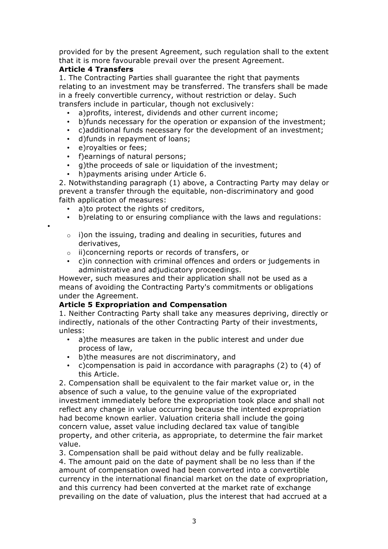provided for by the present Agreement, such regulation shall to the extent that it is more favourable prevail over the present Agreement.

## **Article 4 Transfers**

1. The Contracting Parties shall guarantee the right that payments relating to an investment may be transferred. The transfers shall be made in a freely convertible currency, without restriction or delay. Such transfers include in particular, though not exclusively:

- a) profits, interest, dividends and other current income;
- b)funds necessary for the operation or expansion of the investment;
- c)additional funds necessary for the development of an investment;
- d)funds in repayment of loans;
- e)royalties or fees;

•

- f)earnings of natural persons;
- g)the proceeds of sale or liquidation of the investment;
- h)payments arising under Article 6.

2. Notwithstanding paragraph (1) above, a Contracting Party may delay or prevent a transfer through the equitable, non-discriminatory and good faith application of measures:

- a)to protect the rights of creditors,
- b)relating to or ensuring compliance with the laws and regulations:
- o i)on the issuing, trading and dealing in securities, futures and derivatives,
- o ii)concerning reports or records of transfers, or
- c)in connection with criminal offences and orders or judgements in administrative and adjudicatory proceedings.

However, such measures and their application shall not be used as a means of avoiding the Contracting Party's commitments or obligations under the Agreement.

## **Article 5 Expropriation and Compensation**

1. Neither Contracting Party shall take any measures depriving, directly or indirectly, nationals of the other Contracting Party of their investments, unless:

- a)the measures are taken in the public interest and under due process of law,
- b)the measures are not discriminatory, and
- c)compensation is paid in accordance with paragraphs (2) to (4) of this Article.

2. Compensation shall be equivalent to the fair market value or, in the absence of such a value, to the genuine value of the expropriated investment immediately before the expropriation took place and shall not reflect any change in value occurring because the intented expropriation had become known earlier. Valuation criteria shall include the going concern value, asset value including declared tax value of tangible property, and other criteria, as appropriate, to determine the fair market value.

3. Compensation shall be paid without delay and be fully realizable. 4. The amount paid on the date of payment shall be no less than if the amount of compensation owed had been converted into a convertible currency in the international financial market on the date of expropriation, and this currency had been converted at the market rate of exchange prevailing on the date of valuation, plus the interest that had accrued at a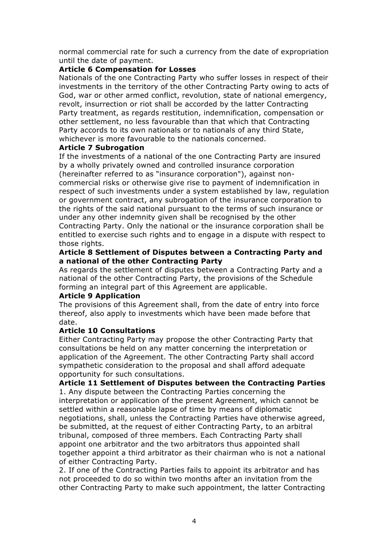normal commercial rate for such a currency from the date of expropriation until the date of payment.

#### **Article 6 Compensation for Losses**

Nationals of the one Contracting Party who suffer losses in respect of their investments in the territory of the other Contracting Party owing to acts of God, war or other armed conflict, revolution, state of national emergency, revolt, insurrection or riot shall be accorded by the latter Contracting Party treatment, as regards restitution, indemnification, compensation or other settlement, no less favourable than that which that Contracting Party accords to its own nationals or to nationals of any third State, whichever is more favourable to the nationals concerned.

#### **Article 7 Subrogation**

If the investments of a national of the one Contracting Party are insured by a wholly privately owned and controlled insurance corporation (hereinafter referred to as "insurance corporation"), against noncommercial risks or otherwise give rise to payment of indemnification in respect of such investments under a system established by law, regulation or government contract, any subrogation of the insurance corporation to the rights of the said national pursuant to the terms of such insurance or under any other indemnity given shall be recognised by the other Contracting Party. Only the national or the insurance corporation shall be entitled to exercise such rights and to engage in a dispute with respect to those rights.

#### **Article 8 Settlement of Disputes between a Contracting Party and a national of the other Contracting Party**

As regards the settlement of disputes between a Contracting Party and a national of the other Contracting Party, the provisions of the Schedule forming an integral part of this Agreement are applicable.

## **Article 9 Application**

The provisions of this Agreement shall, from the date of entry into force thereof, also apply to investments which have been made before that date.

## **Article 10 Consultations**

Either Contracting Party may propose the other Contracting Party that consultations be held on any matter concerning the interpretation or application of the Agreement. The other Contracting Party shall accord sympathetic consideration to the proposal and shall afford adequate opportunity for such consultations.

**Article 11 Settlement of Disputes between the Contracting Parties** 1. Any dispute between the Contracting Parties concerning the interpretation or application of the present Agreement, which cannot be settled within a reasonable lapse of time by means of diplomatic negotiations, shall, unless the Contracting Parties have otherwise agreed, be submitted, at the request of either Contracting Party, to an arbitral tribunal, composed of three members. Each Contracting Party shall appoint one arbitrator and the two arbitrators thus appointed shall together appoint a third arbitrator as their chairman who is not a national of either Contracting Party.

2. If one of the Contracting Parties fails to appoint its arbitrator and has not proceeded to do so within two months after an invitation from the other Contracting Party to make such appointment, the latter Contracting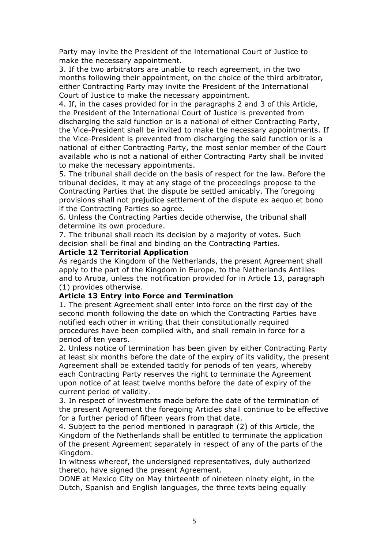Party may invite the President of the lnternational Court of Justice to make the necessary appointment.

3. If the two arbitrators are unable to reach agreement, in the two months following their appointment, on the choice of the third arbitrator, either Contracting Party may invite the President of the International Court of Justice to make the necessary appointment.

4. If, in the cases provided for in the paragraphs 2 and 3 of this Article, the President of the International Court of Justice is prevented from discharging the said function or is a national of either Contracting Party, the Vice-President shall be invited to make the necessary appointments. If the Vice-President is prevented from discharging the said function or is a national of either Contracting Party, the most senior member of the Court available who is not a national of either Contracting Party shall be invited to make the necessary appointments.

5. The tribunal shall decide on the basis of respect for the law. Before the tribunal decides, it may at any stage of the proceedings propose to the Contracting Parties that the dispute be settled amicably. The foregoing provisions shall not prejudice settlement of the dispute ex aequo et bono if the Contracting Parties so agree.

6. Unless the Contracting Parties decide otherwise, the tribunal shall determine its own procedure.

7. The tribunal shall reach its decision by a majority of votes. Such decision shall be final and binding on the Contracting Parties.

#### **Article 12 Territorial Application**

As regards the Kingdom of the Netherlands, the present Agreement shall apply to the part of the Kingdom in Europe, to the Netherlands Antilles and to Aruba, unless the notification provided for in Article 13, paragraph (1) provides otherwise.

#### **Article 13 Entry into Force and Termination**

1. The present Agreement shall enter into force on the first day of the second month following the date on which the Contracting Parties have notified each other in writing that their constitutionally required procedures have been complied with, and shall remain in force for a period of ten years.

2. Unless notice of termination has been given by either Contracting Party at least six months before the date of the expiry of its validity, the present Agreement shall be extended tacitly for periods of ten years, whereby each Contracting Party reserves the right to terminate the Agreement upon notice of at least twelve months before the date of expiry of the current period of validity.

3. In respect of investments made before the date of the termination of the present Agreement the foregoing Articles shall continue to be effective for a further period of fifteen years from that date.

4. Subject to the period mentioned in paragraph (2) of this Article, the Kingdom of the Netherlands shall be entitled to terminate the application of the present Agreement separately in respect of any of the parts of the Kingdom.

In witness whereof, the undersigned representatives, duly authorized thereto, have signed the present Agreement.

DONE at Mexico City on May thirteenth of nineteen ninety eight, in the Dutch, Spanish and English languages, the three texts being equally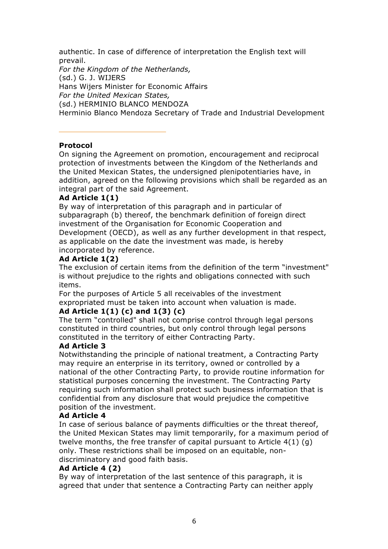authentic. In case of difference of interpretation the English text will prevail.

*For the Kingdom of the Netherlands,* (sd.) G. J. WIJERS Hans Wijers Minister for Economic Affairs *For the United Mexican States,* (sd.) HERMINIO BLANCO MENDOZA Herminio Blanco Mendoza Secretary of Trade and Industrial Development

## **Protocol**

On signing the Agreement on promotion, encouragement and reciprocal protection of investments between the Kingdom of the Netherlands and the United Mexican States, the undersigned plenipotentiaries have, in addition, agreed on the following provisions which shall be regarded as an integral part of the said Agreement.

## **Ad Article 1(1)**

By way of interpretation of this paragraph and in particular of subparagraph (b) thereof, the benchmark definition of foreign direct investment of the Organisation for Economic Cooperation and Development (OECD), as well as any further development in that respect, as applicable on the date the investment was made, is hereby incorporated by reference.

## **Ad Article 1(2)**

The exclusion of certain items from the definition of the term "investment" is without prejudice to the rights and obligations connected with such items.

For the purposes of Article 5 all receivables of the investment expropriated must be taken into account when valuation is made.

# **Ad Article 1(1) (c) and 1(3) (c)**

The term "controlled" shall not comprise control through legal persons constituted in third countries, but only control through legal persons constituted in the territory of either Contracting Party.

## **Ad Article 3**

Notwithstanding the principle of national treatment, a Contracting Party may require an enterprise in its territory, owned or controlled by a national of the other Contracting Party, to provide routine information for statistical purposes concerning the investment. The Contracting Party requiring such information shall protect such business information that is confidential from any disclosure that would prejudice the competitive position of the investment.

## **Ad Article 4**

In case of serious balance of payments difficulties or the threat thereof, the United Mexican States may limit temporarily, for a maximum period of twelve months, the free transfer of capital pursuant to Article 4(1) (g) only. These restrictions shall be imposed on an equitable, nondiscriminatory and good faith basis.

## **Ad Article 4 (2)**

By way of interpretation of the last sentence of this paragraph, it is agreed that under that sentence a Contracting Party can neither apply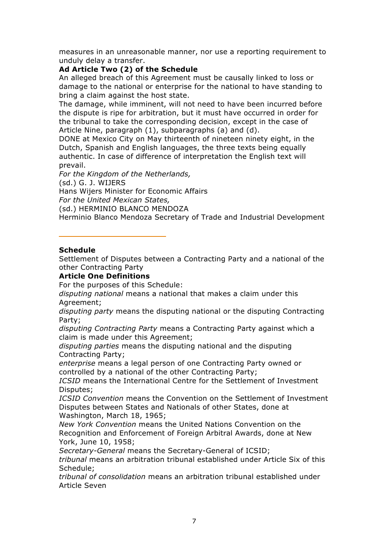measures in an unreasonable manner, nor use a reporting requirement to unduly delay a transfer.

## **Ad Article Two (2) of the Schedule**

An alleged breach of this Agreement must be causally linked to loss or damage to the national or enterprise for the national to have standing to bring a claim against the host state.

The damage, while imminent, will not need to have been incurred before the dispute is ripe for arbitration, but it must have occurred in order for the tribunal to take the corresponding decision, except in the case of Article Nine, paragraph (1), subparagraphs (a) and (d).

DONE at Mexico City on May thirteenth of nineteen ninety eight, in the Dutch, Spanish and English languages, the three texts being equally authentic. In case of difference of interpretation the English text will prevail.

*For the Kingdom of the Netherlands,* (sd.) G. J. WIJERS Hans Wijers Minister for Economic Affairs

*For the United Mexican States,*

(sd.) HERMINIO BLANCO MENDOZA

Herminio Blanco Mendoza Secretary of Trade and Industrial Development

## **Schedule**

Settlement of Disputes between a Contracting Party and a national of the other Contracting Party

## **Article One Definitions**

For the purposes of this Schedule:

*disputing national* means a national that makes a claim under this Agreement;

*disputing party* means the disputing national or the disputing Contracting Party;

*disputing Contracting Party* means a Contracting Party against which a claim is made under this Agreement;

*disputing parties* means the disputing national and the disputing Contracting Party;

*enterprise* means a legal person of one Contracting Party owned or controlled by a national of the other Contracting Party;

*ICSID* means the International Centre for the Settlement of Investment Disputes;

*ICSID Convention* means the Convention on the Settlement of Investment Disputes between States and Nationals of other States, done at Washington, March 18, 1965;

*New York Convention* means the United Nations Convention on the Recognition and Enforcement of Foreign Arbitral Awards, done at New York, June 10, 1958;

*Secretary-General* means the Secretary-General of ICSID;

*tribunal* means an arbitration tribunal established under Article Six of this Schedule;

*tribunal of consolidation* means an arbitration tribunal established under Article Seven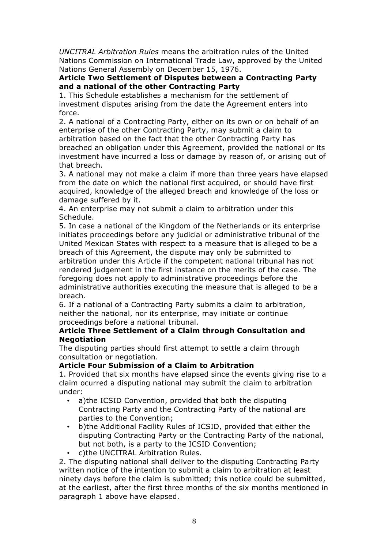*UNCITRAL Arbitration Rules* means the arbitration rules of the United Nations Commission on International Trade Law, approved by the United Nations General Assembly on December 15, 1976.

## **Article Two Settlement of Disputes between a Contracting Party and a national of the other Contracting Party**

1. This Schedule establishes a mechanism for the settlement of investment disputes arising from the date the Agreement enters into force.

2. A national of a Contracting Party, either on its own or on behalf of an enterprise of the other Contracting Party, may submit a claim to arbitration based on the fact that the other Contracting Party has breached an obligation under this Agreement, provided the national or its investment have incurred a loss or damage by reason of, or arising out of that breach.

3. A national may not make a claim if more than three years have elapsed from the date on which the national first acquired, or should have first acquired, knowledge of the alleged breach and knowledge of the loss or damage suffered by it.

4. An enterprise may not submit a claim to arbitration under this Schedule.

5. In case a national of the Kingdom of the Netherlands or its enterprise initiates proceedings before any judicial or administrative tribunal of the United Mexican States with respect to a measure that is alleged to be a breach of this Agreement, the dispute may only be submitted to arbitration under this Article if the competent national tribunal has not rendered judgement in the first instance on the merits of the case. The foregoing does not apply to administrative proceedings before the administrative authorities executing the measure that is alleged to be a breach.

6. If a national of a Contracting Party submits a claim to arbitration, neither the national, nor its enterprise, may initiate or continue proceedings before a national tribunal.

## **Article Three Settlement of a Claim through Consultation and Negotiation**

The disputing parties should first attempt to settle a claim through consultation or negotiation.

## **Article Four Submission of a Claim to Arbitration**

1. Provided that six months have elapsed since the events giving rise to a claim ocurred a disputing national may submit the claim to arbitration under:

- a)the ICSID Convention, provided that both the disputing Contracting Party and the Contracting Party of the national are parties to the Convention;
- b)the Additional Facility Rules of ICSID, provided that either the disputing Contracting Party or the Contracting Party of the national, but not both, is a party to the ICSID Convention;
- c)the UNCITRAL Arbitration Rules.

2. The disputing national shall deliver to the disputing Contracting Party written notice of the intention to submit a claim to arbitration at least ninety days before the claim is submitted; this notice could be submitted, at the earliest, after the first three months of the six months mentioned in paragraph 1 above have elapsed.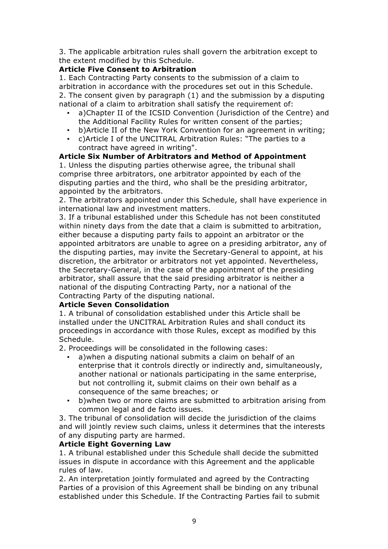3. The applicable arbitration rules shall govern the arbitration except to the extent modified by this Schedule.

## **Article Five Consent to Arbitration**

1. Each Contracting Party consents to the submission of a claim to arbitration in accordance with the procedures set out in this Schedule. 2. The consent given by paragraph (1) and the submission by a disputing national of a claim to arbitration shall satisfy the requirement of:

- a)Chapter II of the ICSID Convention (Jurisdiction of the Centre) and the Additional Facility Rules for written consent of the parties;
- b)Article II of the New York Convention for an agreement in writing;
- c)Article I of the UNCITRAL Arbitration Rules: "The parties to a contract have agreed in writing".

## **Article Six Number of Arbitrators and Method of Appointment**

1. Unless the disputing parties otherwise agree, the tribunal shall comprise three arbitrators, one arbitrator appointed by each of the disputing parties and the third, who shall be the presiding arbitrator, appointed by the arbitrators.

2. The arbitrators appointed under this Schedule, shall have experience in international law and investment matters.

3. If a tribunal established under this Schedule has not been constituted within ninety days from the date that a claim is submitted to arbitration, either because a disputing party fails to appoint an arbitrator or the appointed arbitrators are unable to agree on a presiding arbitrator, any of the disputing parties, may invite the Secretary-General to appoint, at his discretion, the arbitrator or arbitrators not yet appointed. Nevertheless, the Secretary-General, in the case of the appointment of the presiding arbitrator, shall assure that the said presiding arbitrator is neither a national of the disputing Contracting Party, nor a national of the Contracting Party of the disputing national.

## **Article Seven Consolidation**

1. A tribunal of consolidation established under this Article shall be installed under the UNCITRAL Arbitration Rules and shall conduct its proceedings in accordance with those Rules, except as modified by this Schedule.

2. Proceedings will be consolidated in the following cases:

- a)when a disputing national submits a claim on behalf of an enterprise that it controls directly or indirectly and, simultaneously, another national or nationals participating in the same enterprise, but not controlling it, submit claims on their own behalf as a consequence of the same breaches; or
- b)when two or more claims are submitted to arbitration arising from common legal and de facto issues.

3. The tribunal of consolidation will decide the jurisdiction of the claims and will jointly review such claims, unless it determines that the interests of any disputing party are harmed.

## **Article Eight Governing Law**

1. A tribunal established under this Schedule shall decide the submitted issues in dispute in accordance with this Agreement and the applicable rules of law.

2. An interpretation jointly formulated and agreed by the Contracting Parties of a provision of this Agreement shall be binding on any tribunal established under this Schedule. If the Contracting Parties fail to submit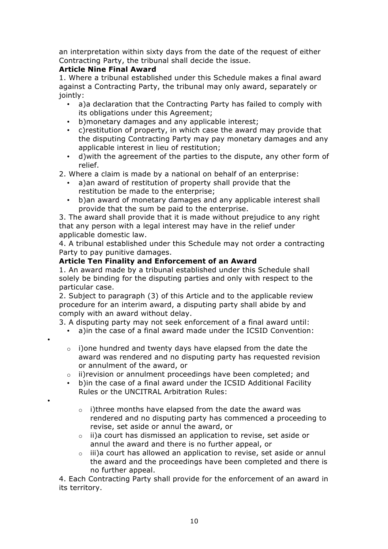an interpretation within sixty days from the date of the request of either Contracting Party, the tribunal shall decide the issue.

# **Article Nine Final Award**

•

•

1. Where a tribunal established under this Schedule makes a final award against a Contracting Party, the tribunal may only award, separately or jointly:

- a)a declaration that the Contracting Party has failed to comply with its obligations under this Agreement;
- b)monetary damages and any applicable interest;
- c)restitution of property, in which case the award may provide that the disputing Contracting Party may pay monetary damages and any applicable interest in lieu of restitution;
- d)with the agreement of the parties to the dispute, any other form of relief.
- 2. Where a claim is made by a national on behalf of an enterprise:
	- a)an award of restitution of property shall provide that the restitution be made to the enterprise;
	- b)an award of monetary damages and any applicable interest shall provide that the sum be paid to the enterprise.

3. The award shall provide that it is made without prejudice to any right that any person with a legal interest may have in the relief under applicable domestic law.

4. A tribunal established under this Schedule may not order a contracting Party to pay punitive damages.

## **Article Ten Finality and Enforcement of an Award**

1. An award made by a tribunal established under this Schedule shall solely be binding for the disputing parties and only with respect to the particular case.

2. Subject to paragraph (3) of this Article and to the applicable review procedure for an interim award, a disputing party shall abide by and comply with an award without delay.

3. A disputing party may not seek enforcement of a final award until:

- a)in the case of a final award made under the ICSID Convention:
- $\circ$  i)one hundred and twenty days have elapsed from the date the award was rendered and no disputing party has requested revision or annulment of the award, or
- o ii)revision or annulment proceedings have been completed; and
- b)in the case of a final award under the ICSID Additional Facility Rules or the UNCITRAL Arbitration Rules:
	- o i)three months have elapsed from the date the award was rendered and no disputing party has commenced a proceeding to revise, set aside or annul the award, or
	- o ii)a court has dismissed an application to revise, set aside or annul the award and there is no further appeal, or
	- o iii)a court has allowed an application to revise, set aside or annul the award and the proceedings have been completed and there is no further appeal.

4. Each Contracting Party shall provide for the enforcement of an award in its territory.